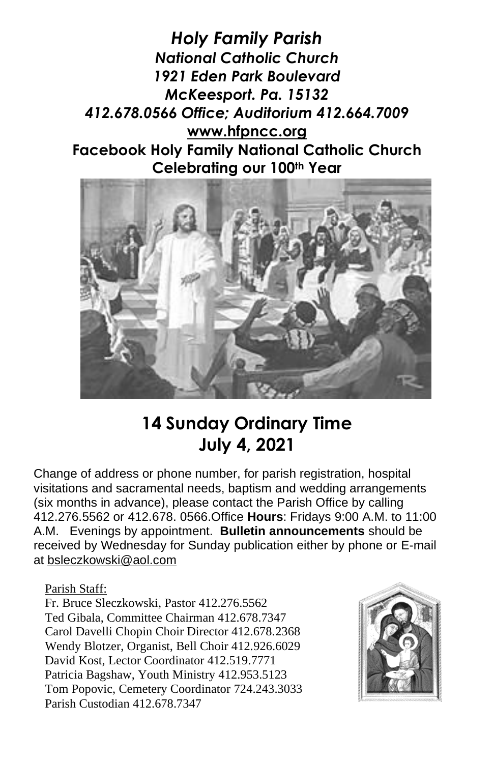*Holy Family Parish National Catholic Church 1921 Eden Park Boulevard McKeesport. Pa. 15132 412.678.0566 Office; Auditorium 412.664.7009* **[www.hfpncc.org](http://www.hfpncc.org/) Facebook Holy Family National Catholic Church Celebrating our 100th Year**



## **14 Sunday Ordinary Time July 4, 2021**

Change of address or phone number, for parish registration, hospital visitations and sacramental needs, baptism and wedding arrangements (six months in advance), please contact the Parish Office by calling 412.276.5562 or 412.678. 0566.Office **Hours**: Fridays 9:00 A.M. to 11:00 A.M. Evenings by appointment. **Bulletin announcements** should be received by Wednesday for Sunday publication either by phone or E-mail at [bsleczkowski@aol.com](mailto:bsleczkowski@aol.com)

Parish Staff:

Fr. Bruce Sleczkowski, Pastor 412.276.5562 Ted Gibala, Committee Chairman 412.678.7347 Carol Davelli Chopin Choir Director 412.678.2368 Wendy Blotzer, Organist, Bell Choir 412.926.6029 David Kost, Lector Coordinator 412.519.7771 Patricia Bagshaw, Youth Ministry 412.953.5123 Tom Popovic, Cemetery Coordinator 724.243.3033 Parish Custodian 412.678.7347

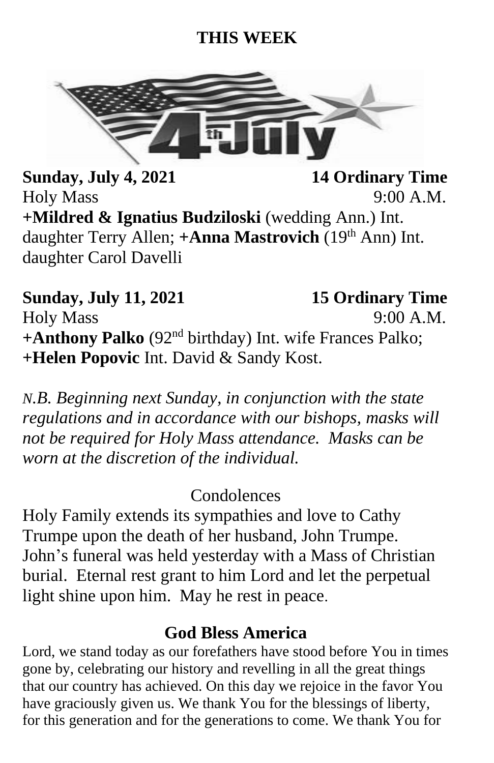## **THIS WEEK**



**Sunday, July 4, 2021** 14 Ordinary Time Holy Mass 9:00 A.M. **+Mildred & Ignatius Budziloski** (wedding Ann.) Int. daughter Terry Allen; **+Anna Mastrovich** (19<sup>th</sup> Ann) Int. daughter Carol Davelli

**Sunday, July 11, 2021 15 Ordinary Time** Holy Mass 9:00 A.M. **+Anthony Palko** (92nd birthday) Int. wife Frances Palko; **+Helen Popovic** Int. David & Sandy Kost.

*N.B. Beginning next Sunday, in conjunction with the state regulations and in accordance with our bishops, masks will not be required for Holy Mass attendance. Masks can be worn at the discretion of the individual.*

**Condolences** 

Holy Family extends its sympathies and love to Cathy Trumpe upon the death of her husband, John Trumpe. John's funeral was held yesterday with a Mass of Christian burial. Eternal rest grant to him Lord and let the perpetual light shine upon him. May he rest in peace.

## **God Bless America**

Lord, we stand today as our forefathers have stood before You in times gone by, celebrating our history and revelling in all the great things that our country has achieved. On this day we rejoice in the favor You have graciously given us. We thank You for the blessings of liberty, for this generation and for the generations to come. We thank You for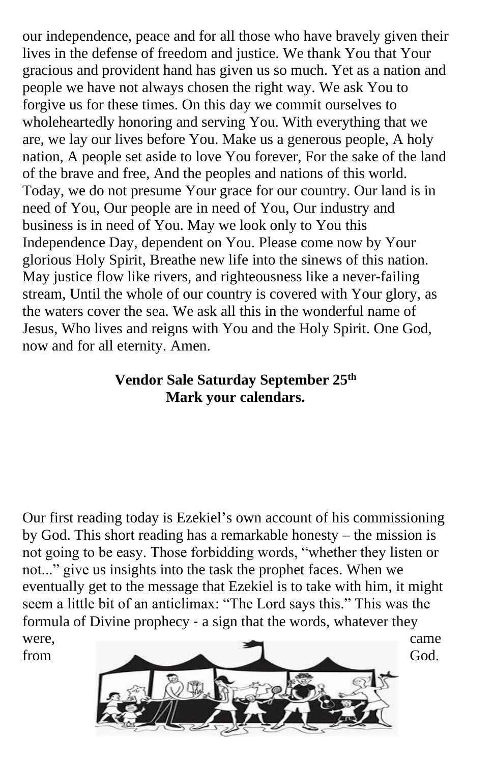our independence, peace and for all those who have bravely given their lives in the defense of freedom and justice. We thank You that Your gracious and provident hand has given us so much. Yet as a nation and people we have not always chosen the right way. We ask You to forgive us for these times. On this day we commit ourselves to wholeheartedly honoring and serving You. With everything that we are, we lay our lives before You. Make us a generous people, A holy nation, A people set aside to love You forever, For the sake of the land of the brave and free, And the peoples and nations of this world. Today, we do not presume Your grace for our country. Our land is in need of You, Our people are in need of You, Our industry and business is in need of You. May we look only to You this Independence Day, dependent on You. Please come now by Your glorious Holy Spirit, Breathe new life into the sinews of this nation. May justice flow like rivers, and righteousness like a never-failing stream, Until the whole of our country is covered with Your glory, as the waters cover the sea. We ask all this in the wonderful name of Jesus, Who lives and reigns with You and the Holy Spirit. One God, now and for all eternity. Amen.

## **Vendor Sale Saturday September 25th Mark your calendars.**

Our first reading today is Ezekiel's own account of his commissioning by God. This short reading has a remarkable honesty – the mission is not going to be easy. Those forbidding words, "whether they listen or not..." give us insights into the task the prophet faces. When we eventually get to the message that Ezekiel is to take with him, it might seem a little bit of an anticlimax: "The Lord says this." This was the formula of Divine prophecy ‑ a sign that the words, whatever they were, came